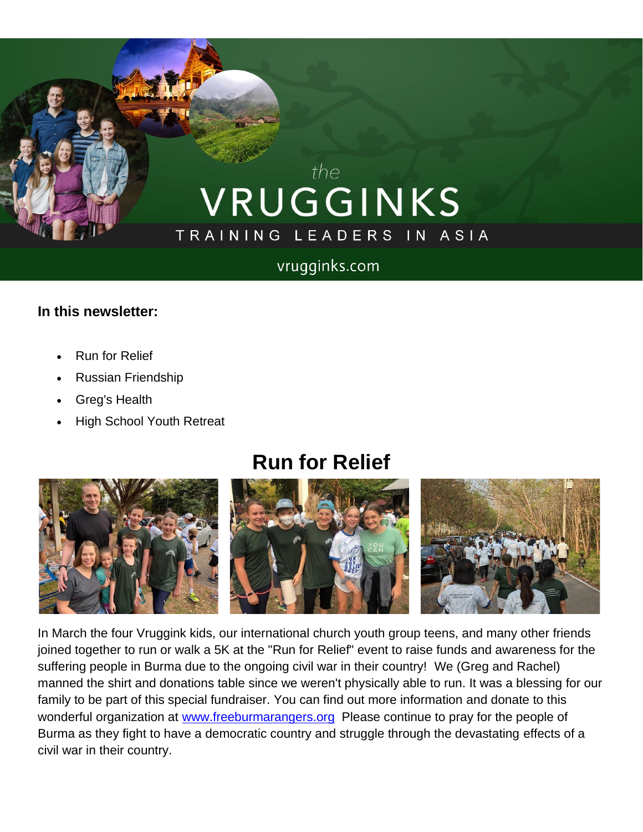# the VRUGGINKS TRAINING LEADERS IN ASIA

#### vrugginks.com

#### **In this newsletter:**

- Run for Relief
- Russian Friendship
- Greg's Health
- High School Youth Retreat

## **Run for Relief**



In March the four Vruggink kids, our international church youth group teens, and many other friends joined together to run or walk a 5K at the "Run for Relief" event to raise funds and awareness for the suffering people in Burma due to the ongoing civil war in their country! We (Greg and Rachel) manned the shirt and donations table since we weren't physically able to run. It was a blessing for our family to be part of this special fundraiser. You can find out more information and donate to this wonderful organization at [www.freeburmarangers.org](http://www.freeburmarangers.org/?fbclid=IwAR1twglu-5VPcZYfCTBrKgUwJNYWfhPJqu00G72tQcMYw3vU40QM5WMIQ98) Please continue to pray for the people of Burma as they fight to have a democratic country and struggle through the devastating effects of a civil war in their country.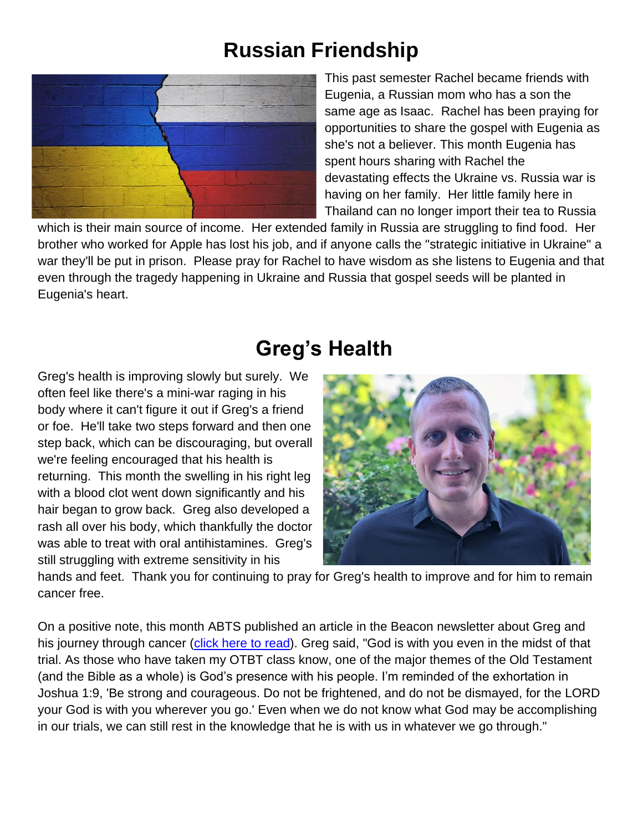### **Russian Friendship**



This past semester Rachel became friends with Eugenia, a Russian mom who has a son the same age as Isaac. Rachel has been praying for opportunities to share the gospel with Eugenia as she's not a believer. This month Eugenia has spent hours sharing with Rachel the devastating effects the Ukraine vs. Russia war is having on her family. Her little family here in Thailand can no longer import their tea to Russia

which is their main source of income. Her extended family in Russia are struggling to find food. Her brother who worked for Apple has lost his job, and if anyone calls the "strategic initiative in Ukraine" a war they'll be put in prison. Please pray for Rachel to have wisdom as she listens to Eugenia and that even through the tragedy happening in Ukraine and Russia that gospel seeds will be planted in Eugenia's heart.

### **Greg's Health**

Greg's health is improving slowly but surely. We often feel like there's a mini-war raging in his body where it can't figure it out if Greg's a friend or foe. He'll take two steps forward and then one step back, which can be discouraging, but overall we're feeling encouraged that his health is returning. This month the swelling in his right leg with a blood clot went down significantly and his hair began to grow back. Greg also developed a rash all over his body, which thankfully the doctor was able to treat with oral antihistamines. Greg's still struggling with extreme sensitivity in his



hands and feet. Thank you for continuing to pray for Greg's health to improve and for him to remain cancer free.

On a positive note, this month ABTS published an article in the Beacon newsletter about Greg and his journey through cancer [\(click here to read\)](https://mailchi.mp/99bcbe56bac3/beaconvol_10_march-5716733?e=4417fe320a). Greg said, "God is with you even in the midst of that trial. As those who have taken my OTBT class know, one of the major themes of the Old Testament (and the Bible as a whole) is God's presence with his people. I'm reminded of the exhortation in Joshua 1:9, 'Be strong and courageous. Do not be frightened, and do not be dismayed, for the LORD your God is with you wherever you go.' Even when we do not know what God may be accomplishing in our trials, we can still rest in the knowledge that he is with us in whatever we go through."